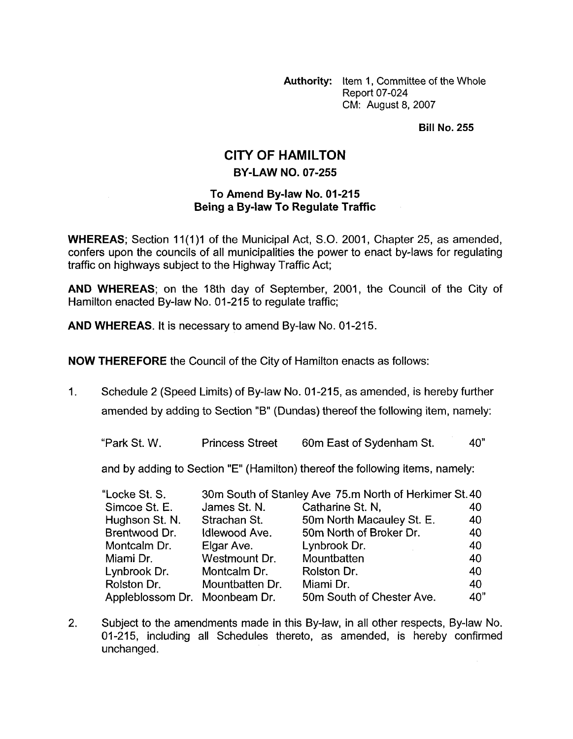**Authority:** Item 1, Committee of the Whole Report 07-024 CM: August 8, 2007

**Bill No. 255** 

## **CITY OF HAMILTON BY-LAW NO. 07-255**

## **To Amend Bylaw No. 01-215 Being a By-law To Regulate Traffic**

**WHEREAS;** Section 11(1)1 of the Municipal Act, S.O. 2001, Chapter 25, as amended, confers upon the councils of all municipalities the power to enact by-laws for regulating traffic on highways subject to the Highway Traffic Act;

**AND WHEREAS;** on the 18th day of September, 2001, the Council of the City of Hamilton enacted By-law No. 01-215 to regulate traffic;

**AND WHEREAS.** It is necessary to amend By-law No. 01-215.

**NOW THEREFORE** the Council of the City of Hamilton enacts as follows:

1. Schedule 2 (Speed Limits) of By-law No. 01-215, as amended, is hereby further amended by adding to Section "B" (Dundas) thereof the following item, namely:

"Park St. W. Princess Street 60m East of Sydenham St. 40"

and by adding to Section "E" (Hamilton) thereof the following items, namely:

| "Locke St. S.    |                      | 30m South of Stanley Ave 75.m North of Herkimer St. 40 |     |
|------------------|----------------------|--------------------------------------------------------|-----|
| Simcoe St. E.    | James St. N.         | Catharine St. N,                                       | 40  |
| Hughson St. N.   | Strachan St.         | 50m North Macauley St. E.                              | 40  |
| Brentwood Dr.    | <b>Idlewood Ave.</b> | 50m North of Broker Dr.                                | 40  |
| Montcalm Dr.     | Elgar Ave.           | Lynbrook Dr.                                           | 40  |
| Miami Dr.        | Westmount Dr.        | Mountbatten                                            | 40  |
| Lynbrook Dr.     | Montcalm Dr.         | Rolston Dr.                                            | 40  |
| Rolston Dr.      | Mountbatten Dr.      | Miami Dr.                                              | 40  |
| Appleblossom Dr. | Moonbeam Dr.         | 50m South of Chester Ave.                              | 40" |

2. Subject to the amendments made in this By-law, in all other respects, By-law No. 01-215, including all Schedules thereto, as amended, is hereby confirmed unchanged.